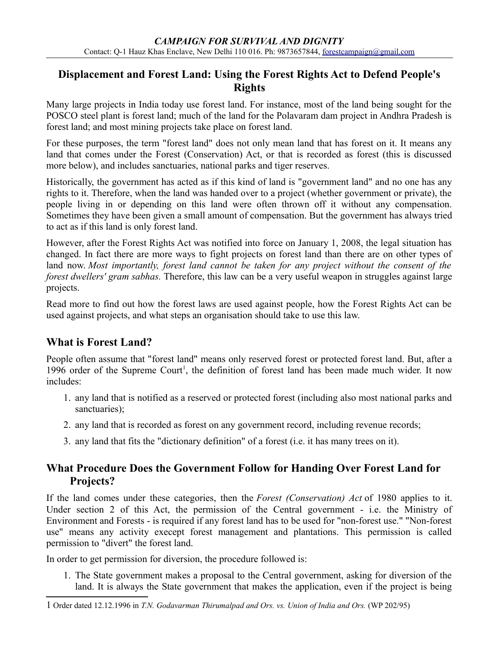### **Displacement and Forest Land: Using the Forest Rights Act to Defend People's Rights**

Many large projects in India today use forest land. For instance, most of the land being sought for the POSCO steel plant is forest land; much of the land for the Polavaram dam project in Andhra Pradesh is forest land; and most mining projects take place on forest land.

For these purposes, the term "forest land" does not only mean land that has forest on it. It means any land that comes under the Forest (Conservation) Act, or that is recorded as forest (this is discussed more below), and includes sanctuaries, national parks and tiger reserves.

Historically, the government has acted as if this kind of land is "government land" and no one has any rights to it. Therefore, when the land was handed over to a project (whether government or private), the people living in or depending on this land were often thrown off it without any compensation. Sometimes they have been given a small amount of compensation. But the government has always tried to act as if this land is only forest land.

However, after the Forest Rights Act was notified into force on January 1, 2008, the legal situation has changed. In fact there are more ways to fight projects on forest land than there are on other types of land now. *Most importantly, forest land cannot be taken for any project without the consent of the forest dwellers' gram sabhas.* Therefore, this law can be a very useful weapon in struggles against large projects.

Read more to find out how the forest laws are used against people, how the Forest Rights Act can be used against projects, and what steps an organisation should take to use this law.

## **What is Forest Land?**

People often assume that "forest land" means only reserved forest or protected forest land. But, after a [1](#page-0-0)996 order of the Supreme Court<sup>1</sup>, the definition of forest land has been made much wider. It now includes:

- 1. any land that is notified as a reserved or protected forest (including also most national parks and sanctuaries);
- 2. any land that is recorded as forest on any government record, including revenue records;
- 3. any land that fits the "dictionary definition" of a forest (i.e. it has many trees on it).

## **What Procedure Does the Government Follow for Handing Over Forest Land for Projects?**

If the land comes under these categories, then the *Forest (Conservation) Act* of 1980 applies to it. Under section 2 of this Act, the permission of the Central government - i.e. the Ministry of Environment and Forests - is required if any forest land has to be used for "non-forest use." "Non-forest use" means any activity execept forest management and plantations. This permission is called permission to "divert" the forest land.

In order to get permission for diversion, the procedure followed is:

1. The State government makes a proposal to the Central government, asking for diversion of the land. It is always the State government that makes the application, even if the project is being

<span id="page-0-0"></span><sup>1</sup> Order dated 12.12.1996 in *T.N. Godavarman Thirumalpad and Ors. vs. Union of India and Ors.* (WP 202/95)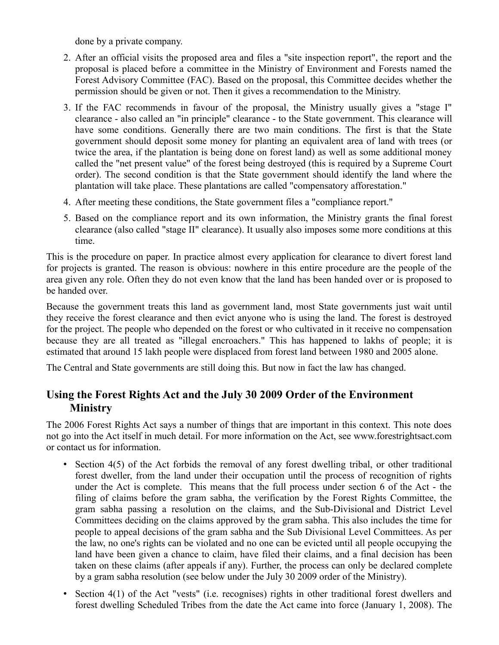done by a private company.

- 2. After an official visits the proposed area and files a "site inspection report", the report and the proposal is placed before a committee in the Ministry of Environment and Forests named the Forest Advisory Committee (FAC). Based on the proposal, this Committee decides whether the permission should be given or not. Then it gives a recommendation to the Ministry.
- 3. If the FAC recommends in favour of the proposal, the Ministry usually gives a "stage I" clearance - also called an "in principle" clearance - to the State government. This clearance will have some conditions. Generally there are two main conditions. The first is that the State government should deposit some money for planting an equivalent area of land with trees (or twice the area, if the plantation is being done on forest land) as well as some additional money called the "net present value" of the forest being destroyed (this is required by a Supreme Court order). The second condition is that the State government should identify the land where the plantation will take place. These plantations are called "compensatory afforestation."
- 4. After meeting these conditions, the State government files a "compliance report."
- 5. Based on the compliance report and its own information, the Ministry grants the final forest clearance (also called "stage II" clearance). It usually also imposes some more conditions at this time.

This is the procedure on paper. In practice almost every application for clearance to divert forest land for projects is granted. The reason is obvious: nowhere in this entire procedure are the people of the area given any role. Often they do not even know that the land has been handed over or is proposed to be handed over.

Because the government treats this land as government land, most State governments just wait until they receive the forest clearance and then evict anyone who is using the land. The forest is destroyed for the project. The people who depended on the forest or who cultivated in it receive no compensation because they are all treated as "illegal encroachers." This has happened to lakhs of people; it is estimated that around 15 lakh people were displaced from forest land between 1980 and 2005 alone.

The Central and State governments are still doing this. But now in fact the law has changed.

## **Using the Forest Rights Act and the July 30 2009 Order of the Environment Ministry**

The 2006 Forest Rights Act says a number of things that are important in this context. This note does not go into the Act itself in much detail. For more information on the Act, see www.forestrightsact.com or contact us for information.

- Section 4(5) of the Act forbids the removal of any forest dwelling tribal, or other traditional forest dweller, from the land under their occupation until the process of recognition of rights under the Act is complete. This means that the full process under section 6 of the Act - the filing of claims before the gram sabha, the verification by the Forest Rights Committee, the gram sabha passing a resolution on the claims, and the Sub-Divisional and District Level Committees deciding on the claims approved by the gram sabha. This also includes the time for people to appeal decisions of the gram sabha and the Sub Divisional Level Committees. As per the law, no one's rights can be violated and no one can be evicted until all people occupying the land have been given a chance to claim, have filed their claims, and a final decision has been taken on these claims (after appeals if any). Further, the process can only be declared complete by a gram sabha resolution (see below under the July 30 2009 order of the Ministry).
- Section 4(1) of the Act "vests" (i.e. recognises) rights in other traditional forest dwellers and forest dwelling Scheduled Tribes from the date the Act came into force (January 1, 2008). The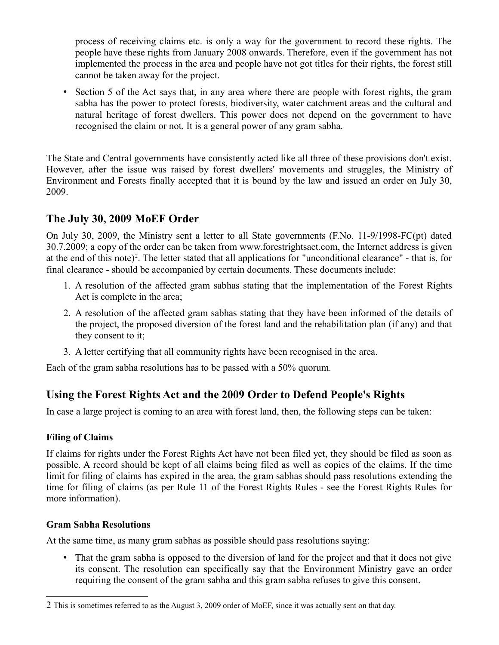process of receiving claims etc. is only a way for the government to record these rights. The people have these rights from January 2008 onwards. Therefore, even if the government has not implemented the process in the area and people have not got titles for their rights, the forest still cannot be taken away for the project.

• Section 5 of the Act says that, in any area where there are people with forest rights, the gram sabha has the power to protect forests, biodiversity, water catchment areas and the cultural and natural heritage of forest dwellers. This power does not depend on the government to have recognised the claim or not. It is a general power of any gram sabha.

The State and Central governments have consistently acted like all three of these provisions don't exist. However, after the issue was raised by forest dwellers' movements and struggles, the Ministry of Environment and Forests finally accepted that it is bound by the law and issued an order on July 30, 2009.

## **The July 30, 2009 MoEF Order**

On July 30, 2009, the Ministry sent a letter to all State governments (F.No. 11-9/1998-FC(pt) dated 30.7.2009; a copy of the order can be taken from www.forestrightsact.com, the Internet address is given at the end of this note)<sup>[2](#page-2-0)</sup>. The letter stated that all applications for "unconditional clearance" - that is, for final clearance - should be accompanied by certain documents. These documents include:

- 1. A resolution of the affected gram sabhas stating that the implementation of the Forest Rights Act is complete in the area;
- 2. A resolution of the affected gram sabhas stating that they have been informed of the details of the project, the proposed diversion of the forest land and the rehabilitation plan (if any) and that they consent to it;
- 3. A letter certifying that all community rights have been recognised in the area.

Each of the gram sabha resolutions has to be passed with a 50% quorum.

## **Using the Forest Rights Act and the 2009 Order to Defend People's Rights**

In case a large project is coming to an area with forest land, then, the following steps can be taken:

### **Filing of Claims**

If claims for rights under the Forest Rights Act have not been filed yet, they should be filed as soon as possible. A record should be kept of all claims being filed as well as copies of the claims. If the time limit for filing of claims has expired in the area, the gram sabhas should pass resolutions extending the time for filing of claims (as per Rule 11 of the Forest Rights Rules - see the Forest Rights Rules for more information).

#### **Gram Sabha Resolutions**

At the same time, as many gram sabhas as possible should pass resolutions saying:

 That the gram sabha is opposed to the diversion of land for the project and that it does not give its consent. The resolution can specifically say that the Environment Ministry gave an order requiring the consent of the gram sabha and this gram sabha refuses to give this consent.

<span id="page-2-0"></span><sup>2</sup> This is sometimes referred to as the August 3, 2009 order of MoEF, since it was actually sent on that day.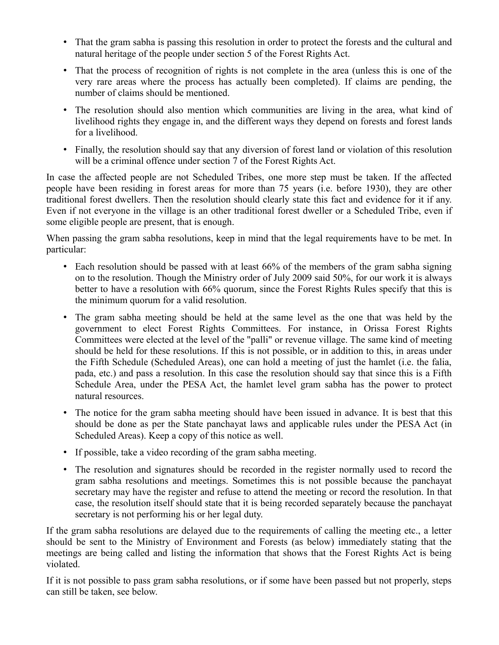- That the gram sabha is passing this resolution in order to protect the forests and the cultural and natural heritage of the people under section 5 of the Forest Rights Act.
- That the process of recognition of rights is not complete in the area (unless this is one of the very rare areas where the process has actually been completed). If claims are pending, the number of claims should be mentioned.
- The resolution should also mention which communities are living in the area, what kind of livelihood rights they engage in, and the different ways they depend on forests and forest lands for a livelihood.
- Finally, the resolution should say that any diversion of forest land or violation of this resolution will be a criminal offence under section 7 of the Forest Rights Act.

In case the affected people are not Scheduled Tribes, one more step must be taken. If the affected people have been residing in forest areas for more than 75 years (i.e. before 1930), they are other traditional forest dwellers. Then the resolution should clearly state this fact and evidence for it if any. Even if not everyone in the village is an other traditional forest dweller or a Scheduled Tribe, even if some eligible people are present, that is enough.

When passing the gram sabha resolutions, keep in mind that the legal requirements have to be met. In particular:

- Each resolution should be passed with at least 66% of the members of the gram sabha signing on to the resolution. Though the Ministry order of July 2009 said 50%, for our work it is always better to have a resolution with 66% quorum, since the Forest Rights Rules specify that this is the minimum quorum for a valid resolution.
- The gram sabha meeting should be held at the same level as the one that was held by the government to elect Forest Rights Committees. For instance, in Orissa Forest Rights Committees were elected at the level of the "palli" or revenue village. The same kind of meeting should be held for these resolutions. If this is not possible, or in addition to this, in areas under the Fifth Schedule (Scheduled Areas), one can hold a meeting of just the hamlet (i.e. the falia, pada, etc.) and pass a resolution. In this case the resolution should say that since this is a Fifth Schedule Area, under the PESA Act, the hamlet level gram sabha has the power to protect natural resources.
- The notice for the gram sabha meeting should have been issued in advance. It is best that this should be done as per the State panchayat laws and applicable rules under the PESA Act (in Scheduled Areas). Keep a copy of this notice as well.
- If possible, take a video recording of the gram sabha meeting.
- The resolution and signatures should be recorded in the register normally used to record the gram sabha resolutions and meetings. Sometimes this is not possible because the panchayat secretary may have the register and refuse to attend the meeting or record the resolution. In that case, the resolution itself should state that it is being recorded separately because the panchayat secretary is not performing his or her legal duty.

If the gram sabha resolutions are delayed due to the requirements of calling the meeting etc., a letter should be sent to the Ministry of Environment and Forests (as below) immediately stating that the meetings are being called and listing the information that shows that the Forest Rights Act is being violated.

If it is not possible to pass gram sabha resolutions, or if some have been passed but not properly, steps can still be taken, see below.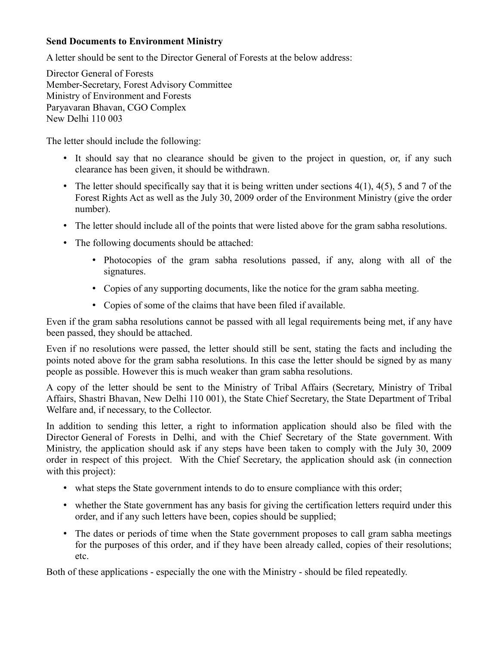#### **Send Documents to Environment Ministry**

A letter should be sent to the Director General of Forests at the below address:

Director General of Forests Member-Secretary, Forest Advisory Committee Ministry of Environment and Forests Paryavaran Bhavan, CGO Complex New Delhi 110 003

The letter should include the following:

- It should say that no clearance should be given to the project in question, or, if any such clearance has been given, it should be withdrawn.
- The letter should specifically say that it is being written under sections  $4(1)$ ,  $4(5)$ , 5 and 7 of the Forest Rights Act as well as the July 30, 2009 order of the Environment Ministry (give the order number).
- The letter should include all of the points that were listed above for the gram sabha resolutions.
- The following documents should be attached:
	- Photocopies of the gram sabha resolutions passed, if any, along with all of the signatures.
	- Copies of any supporting documents, like the notice for the gram sabha meeting.
	- Copies of some of the claims that have been filed if available.

Even if the gram sabha resolutions cannot be passed with all legal requirements being met, if any have been passed, they should be attached.

Even if no resolutions were passed, the letter should still be sent, stating the facts and including the points noted above for the gram sabha resolutions. In this case the letter should be signed by as many people as possible. However this is much weaker than gram sabha resolutions.

A copy of the letter should be sent to the Ministry of Tribal Affairs (Secretary, Ministry of Tribal Affairs, Shastri Bhavan, New Delhi 110 001), the State Chief Secretary, the State Department of Tribal Welfare and, if necessary, to the Collector.

In addition to sending this letter, a right to information application should also be filed with the Director General of Forests in Delhi, and with the Chief Secretary of the State government. With Ministry, the application should ask if any steps have been taken to comply with the July 30, 2009 order in respect of this project. With the Chief Secretary, the application should ask (in connection with this project):

- what steps the State government intends to do to ensure compliance with this order;
- whether the State government has any basis for giving the certification letters requird under this order, and if any such letters have been, copies should be supplied;
- The dates or periods of time when the State government proposes to call gram sabha meetings for the purposes of this order, and if they have been already called, copies of their resolutions; etc.

Both of these applications - especially the one with the Ministry - should be filed repeatedly.